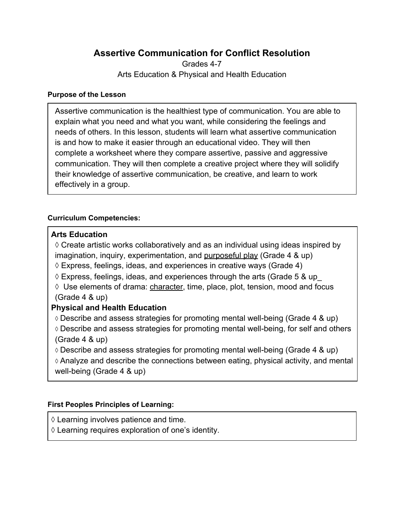# **Assertive Communication for Conflict Resolution**

Grades 4-7 Arts Education & Physical and Health Education

#### **Purpose of the Lesson**

Assertive communication is the healthiest type of communication. You are able to explain what you need and what you want, while considering the feelings and needs of others. In this lesson, students will learn what assertive communication is and how to make it easier through an educational video. They will then complete a worksheet where they compare assertive, passive and aggressive communication. They will then complete a creative project where they will solidify their knowledge of assertive communication, be creative, and learn to work effectively in a group.

### **Curriculum Competencies:**

### **Arts Education**

 $\Diamond$  Create artistic works collaboratively and as an individual using ideas inspired by imagination, inquiry, experimentation, and [purposeful play](https://curriculum.gov.bc.ca/curriculum/arts-education/4/core#) (Grade 4 & up)

 $\Diamond$  Express, feelings, ideas, and experiences in creative ways (Grade 4)

 $\Diamond$  Express, feelings, ideas, and experiences through the arts (Grade 5 & up

 $\Diamond$  Use elements of drama: [character,](https://curriculum.gov.bc.ca/curriculum/arts-education/4/core#;) time, place, plot, tension, mood and focus (Grade 4 & up)

## **Physical and Health Education**

◊ Describe and assess strategies for promoting mental well-being (Grade 4 & up) ◊ Describe and assess strategies for promoting mental well-being, for self and others (Grade 4 & up)

 $\Diamond$  Describe and assess strategies for promoting mental well-being (Grade 4 & up) ◊ Analyze and describe the connections between eating, physical activity, and mental

well-being (Grade 4 & up)

### **First Peoples Principles of Learning:**

 $\Diamond$  Learning involves patience and time.

◊ Learning requires exploration of one's identity.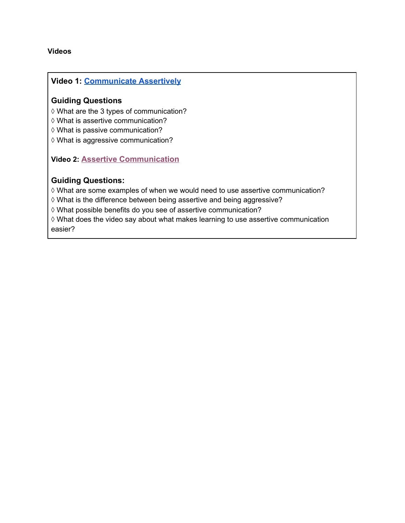#### **Videos**

#### **Video 1: [Communicate Assertively](https://www.youtube.com/watch?v=AJ-e5Q4vhsk)**

#### **Guiding Questions**

◊ What are the 3 types of communication?

◊ What is assertive communication?

◊ What is passive communication?

◊ What is aggressive communication?

**Video 2: [Assertive Communication](https://www.youtube.com/watch?v=vlwmfiCb-vc)** 

#### **Guiding Questions:**

◊ What are some examples of when we would need to use assertive communication?

◊ What is the difference between being assertive and being aggressive?

◊ What possible benefits do you see of assertive communication?

◊ What does the video say about what makes learning to use assertive communication easier?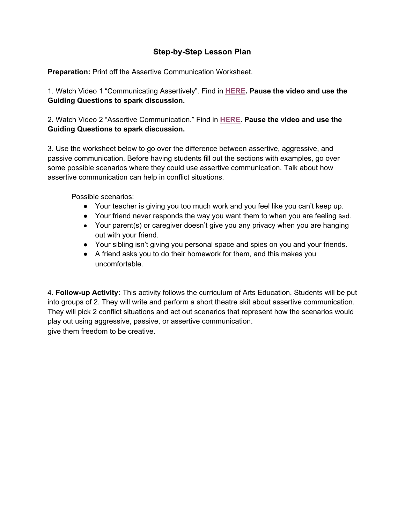### **Step-by-Step Lesson Plan**

**Preparation:** Print off the Assertive Communication Worksheet.

1. Watch Video 1 "Communicating Assertively". Find in **[HERE](https://www.youtube.com/watch?v=AJ-e5Q4vhsk). Pause the video and use the Guiding Questions to spark discussion.** 

2**.** Watch Video 2 "Assertive Communication." Find in **[HERE.](https://www.youtube.com/watch?v=vlwmfiCb-vc) Pause the video and use the Guiding Questions to spark discussion.** 

3. Use the worksheet below to go over the difference between assertive, aggressive, and passive communication. Before having students fill out the sections with examples, go over some possible scenarios where they could use assertive communication. Talk about how assertive communication can help in conflict situations.

Possible scenarios:

- Your teacher is giving you too much work and you feel like you can't keep up.
- Your friend never responds the way you want them to when you are feeling sad.
- Your parent(s) or caregiver doesn't give you any privacy when you are hanging out with your friend.
- Your sibling isn't giving you personal space and spies on you and your friends.
- A friend asks you to do their homework for them, and this makes you uncomfortable.

4. **Follow-up Activity:** This activity follows the curriculum of Arts Education. Students will be put into groups of 2. They will write and perform a short theatre skit about assertive communication. They will pick 2 conflict situations and act out scenarios that represent how the scenarios would play out using aggressive, passive, or assertive communication. give them freedom to be creative.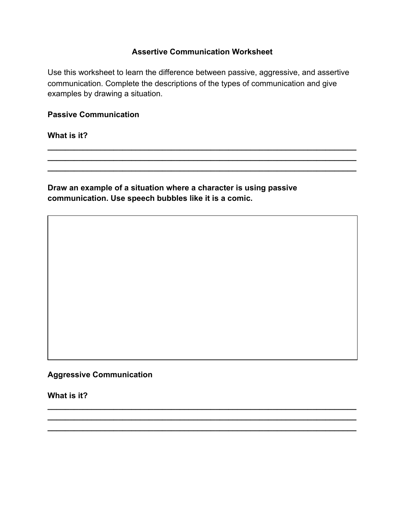### **Assertive Communication Worksheet**

Use this worksheet to learn the difference between passive, aggressive, and assertive communication. Complete the descriptions of the types of communication and give examples by drawing a situation.

**\_\_\_\_\_\_\_\_\_\_\_\_\_\_\_\_\_\_\_\_\_\_\_\_\_\_\_\_\_\_\_\_\_\_\_\_\_\_\_\_\_\_\_\_\_\_\_\_\_\_\_\_\_\_\_\_\_\_\_\_\_\_\_\_\_\_\_\_\_\_ \_\_\_\_\_\_\_\_\_\_\_\_\_\_\_\_\_\_\_\_\_\_\_\_\_\_\_\_\_\_\_\_\_\_\_\_\_\_\_\_\_\_\_\_\_\_\_\_\_\_\_\_\_\_\_\_\_\_\_\_\_\_\_\_\_\_\_\_\_\_ \_\_\_\_\_\_\_\_\_\_\_\_\_\_\_\_\_\_\_\_\_\_\_\_\_\_\_\_\_\_\_\_\_\_\_\_\_\_\_\_\_\_\_\_\_\_\_\_\_\_\_\_\_\_\_\_\_\_\_\_\_\_\_\_\_\_\_\_\_\_** 

**\_\_\_\_\_\_\_\_\_\_\_\_\_\_\_\_\_\_\_\_\_\_\_\_\_\_\_\_\_\_\_\_\_\_\_\_\_\_\_\_\_\_\_\_\_\_\_\_\_\_\_\_\_\_\_\_\_\_\_\_\_\_\_\_\_\_\_\_\_\_ \_\_\_\_\_\_\_\_\_\_\_\_\_\_\_\_\_\_\_\_\_\_\_\_\_\_\_\_\_\_\_\_\_\_\_\_\_\_\_\_\_\_\_\_\_\_\_\_\_\_\_\_\_\_\_\_\_\_\_\_\_\_\_\_\_\_\_\_\_\_ \_\_\_\_\_\_\_\_\_\_\_\_\_\_\_\_\_\_\_\_\_\_\_\_\_\_\_\_\_\_\_\_\_\_\_\_\_\_\_\_\_\_\_\_\_\_\_\_\_\_\_\_\_\_\_\_\_\_\_\_\_\_\_\_\_\_\_\_\_\_** 

#### **Passive Communication**

**What is it?** 

**Draw an example of a situation where a character is using passive communication. Use speech bubbles like it is a comic.** 

**Aggressive Communication** 

**What is it?**